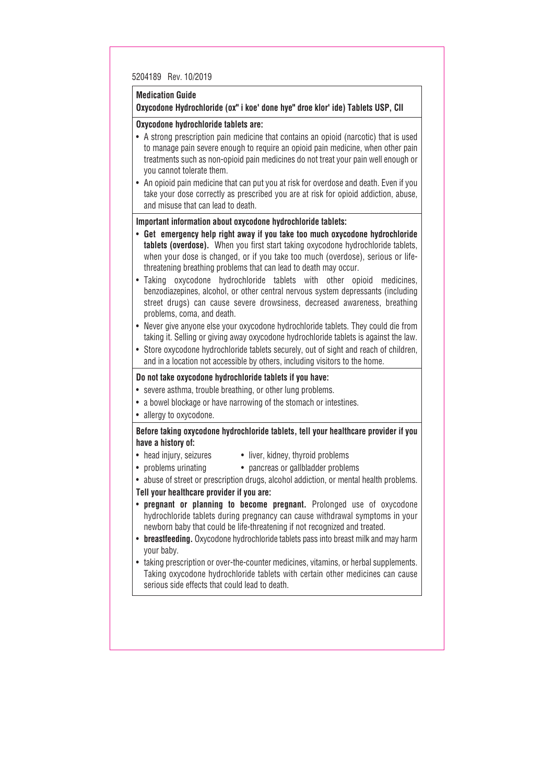#### **Medication Guide Oxycodone Hydrochloride (ox" i koe' done hye" droe klor' ide) Tablets USP, CII**

# **Oxycodone hydrochloride tablets are:**

- A strong prescription pain medicine that contains an opioid (narcotic) that is used to manage pain severe enough to require an opioid pain medicine, when other pain treatments such as non-opioid pain medicines do not treat your pain well enough or you cannot tolerate them.
- An opioid pain medicine that can put you at risk for overdose and death. Even if you take your dose correctly as prescribed you are at risk for opioid addiction, abuse, and misuse that can lead to death.

# **Important information about oxycodone hydrochloride tablets:**

- **Get emergency help right away if you take too much oxycodone hydrochloride tablets (overdose).** When you first start taking oxycodone hydrochloride tablets, when your dose is changed, or if you take too much (overdose), serious or lifethreatening breathing problems that can lead to death may occur.
- Taking oxycodone hydrochloride tablets with other opioid medicines, benzodiazepines, alcohol, or other central nervous system depressants (including street drugs) can cause severe drowsiness, decreased awareness, breathing problems, coma, and death.
- Never give anyone else your oxycodone hydrochloride tablets. They could die from taking it. Selling or giving away oxycodone hydrochloride tablets is against the law.
- Store oxycodone hydrochloride tablets securely, out of sight and reach of children, and in a location not accessible by others, including visitors to the home.

# **Do not take oxycodone hydrochloride tablets if you have:**

- severe asthma, trouble breathing, or other lung problems.
- a bowel blockage or have narrowing of the stomach or intestines.
- allergy to oxycodone.

#### **Before taking oxycodone hydrochloride tablets, tell your healthcare provider if you have a history of:**

- 
- head injury, seizures liver, kidney, thyroid problems
- problems urinating pancreas or gallbladder problems
- abuse of street or prescription drugs, alcohol addiction, or mental health problems.

## **Tell your healthcare provider if you are:**

- **pregnant or planning to become pregnant.** Prolonged use of oxycodone hydrochloride tablets during pregnancy can cause withdrawal symptoms in your newborn baby that could be life-threatening if not recognized and treated.
- **breastfeeding.** Oxycodone hydrochloride tablets pass into breast milk and may harm your baby.
- taking prescription or over-the-counter medicines, vitamins, or herbal supplements. Taking oxycodone hydrochloride tablets with certain other medicines can cause serious side effects that could lead to death.